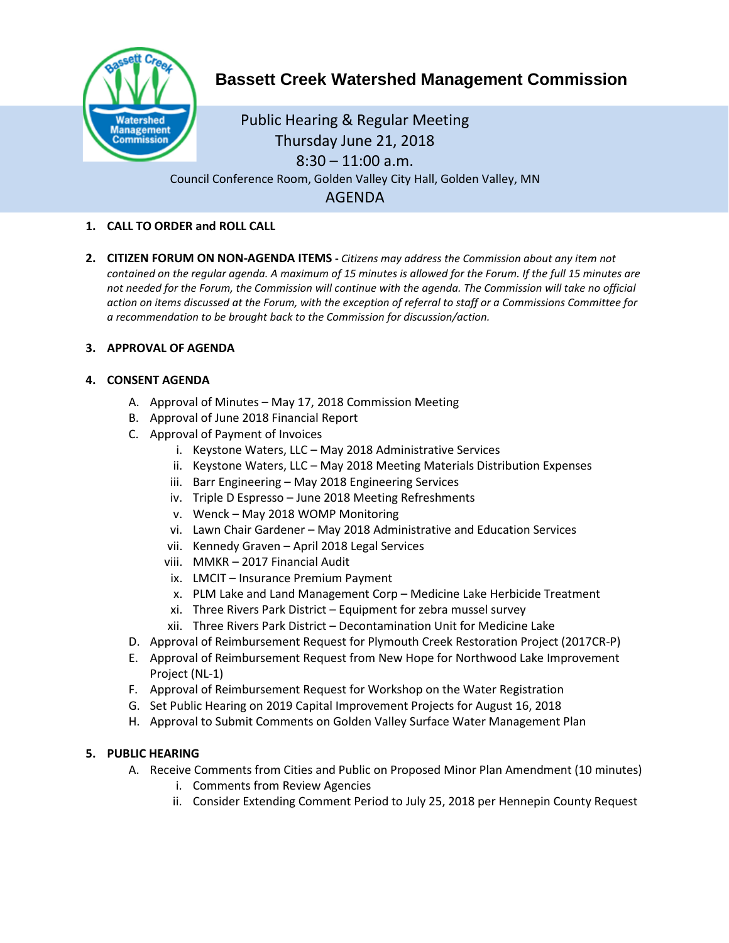

# **Bassett Creek Watershed Management Commission**

Public Hearing & Regular Meeting Thursday June 21, 2018  $8:30 - 11:00$  a.m. Council Conference Room, Golden Valley City Hall, Golden Valley, MN AGENDA

#### **1. CALL TO ORDER and ROLL CALL**

**2. CITIZEN FORUM ON NON-AGENDA ITEMS -** *Citizens may address the Commission about any item not contained on the regular agenda. A maximum of 15 minutes is allowed for the Forum. If the full 15 minutes are*  not needed for the Forum, the Commission will continue with the agenda. The Commission will take no official *action on items discussed at the Forum, with the exception of referral to staff or a Commissions Committee for a recommendation to be brought back to the Commission for discussion/action.*

#### **3. APPROVAL OF AGENDA**

#### **4. CONSENT AGENDA**

- A. Approval of Minutes May 17, 2018 Commission Meeting
- B. Approval of June 2018 Financial Report
- C. Approval of Payment of Invoices
	- i. Keystone Waters, LLC May 2018 Administrative Services
	- ii. Keystone Waters, LLC May 2018 Meeting Materials Distribution Expenses
	- iii. Barr Engineering May 2018 Engineering Services
	- iv. Triple D Espresso June 2018 Meeting Refreshments
	- v. Wenck May 2018 WOMP Monitoring
	- vi. Lawn Chair Gardener May 2018 Administrative and Education Services
	- vii. Kennedy Graven April 2018 Legal Services
	- viii. MMKR 2017 Financial Audit
	- ix. LMCIT Insurance Premium Payment
	- x. PLM Lake and Land Management Corp Medicine Lake Herbicide Treatment
	- xi. Three Rivers Park District Equipment for zebra mussel survey
	- xii. Three Rivers Park District Decontamination Unit for Medicine Lake
- D. Approval of Reimbursement Request for Plymouth Creek Restoration Project (2017CR-P)
- E. Approval of Reimbursement Request from New Hope for Northwood Lake Improvement Project (NL-1)
- F. Approval of Reimbursement Request for Workshop on the Water Registration
- G. Set Public Hearing on 2019 Capital Improvement Projects for August 16, 2018
- H. Approval to Submit Comments on Golden Valley Surface Water Management Plan

### **5. PUBLIC HEARING**

- A. Receive Comments from Cities and Public on Proposed Minor Plan Amendment (10 minutes)
	- i. Comments from Review Agencies
	- ii. Consider Extending Comment Period to July 25, 2018 per Hennepin County Request